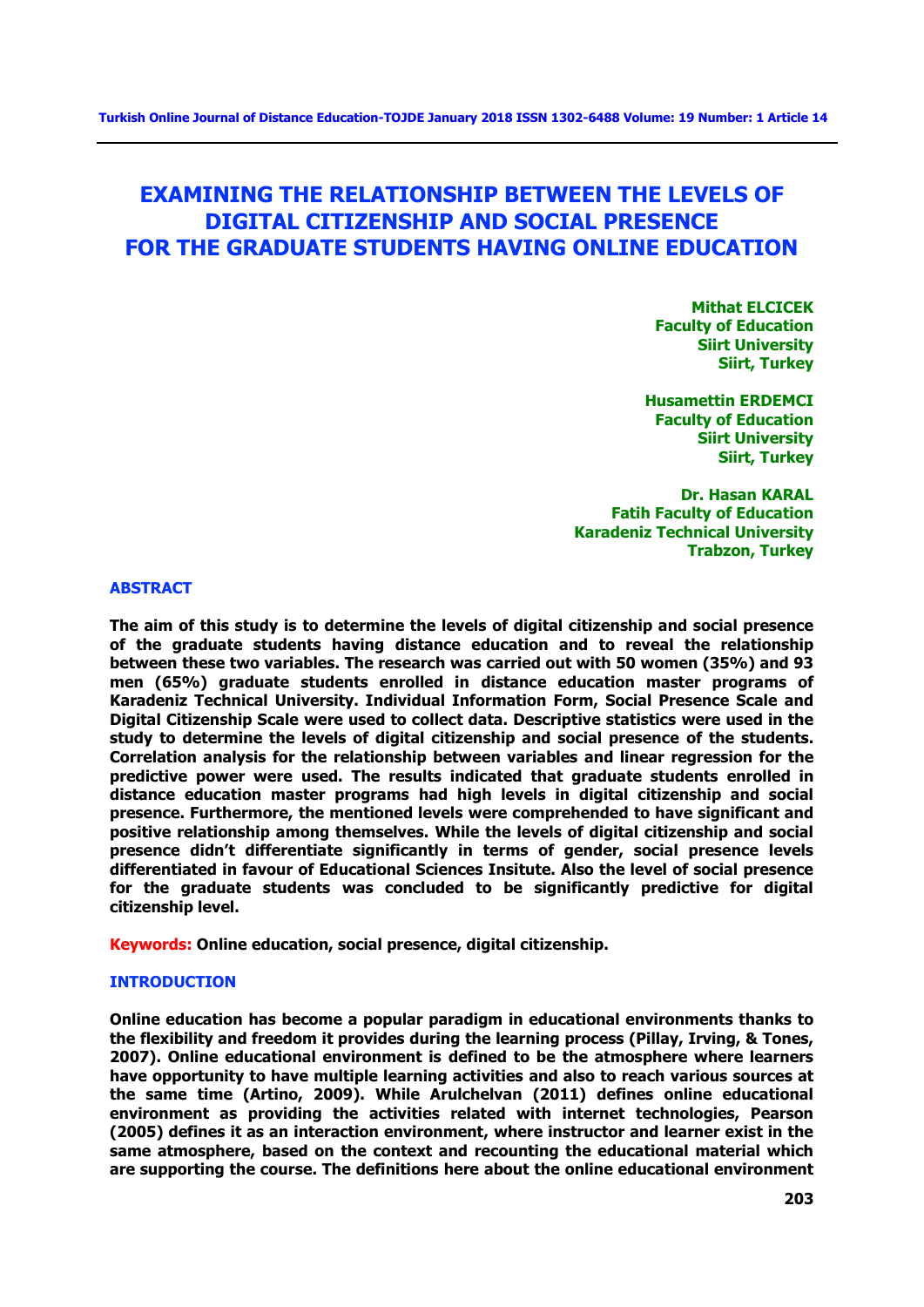# **EXAMINING THE RELATIONSHIP BETWEEN THE LEVELS OF DIGITAL CITIZENSHIP AND SOCIAL PRESENCE FOR THE GRADUATE STUDENTS HAVING ONLINE EDUCATION**

**Mithat ELCICEK Faculty of Education Siirt University Siirt, Turkey**

**Husamettin ERDEMCI Faculty of Education Siirt University Siirt, Turkey**

**Dr. Hasan KARAL Fatih Faculty of Education Karadeniz Technical University Trabzon, Turkey**

## **ABSTRACT**

**The aim of this study is to determine the levels of digital citizenship and social presence of the graduate students having distance education and to reveal the relationship between these two variables. The research was carried out with 50 women (35%) and 93 men (65%) graduate students enrolled in distance education master programs of Karadeniz Technical University. Individual Information Form, Social Presence Scale and Digital Citizenship Scale were used to collect data. Descriptive statistics were used in the study to determine the levels of digital citizenship and social presence of the students. Correlation analysis for the relationship between variables and linear regression for the predictive power were used. The results indicated that graduate students enrolled in distance education master programs had high levels in digital citizenship and social presence. Furthermore, the mentioned levels were comprehended to have significant and positive relationship among themselves. While the levels of digital citizenship and social presence didn't differentiate significantly in terms of gender, social presence levels differentiated in favour of Educational Sciences Insitute. Also the level of social presence for the graduate students was concluded to be significantly predictive for digital citizenship level.**

**Keywords: Online education, social presence, digital citizenship.**

# **INTRODUCTION**

**Online education has become a popular paradigm in educational environments thanks to the flexibility and freedom it provides during the learning process (Pillay, Irving, & Tones, 2007). Online educational environment is defined to be the atmosphere where learners have opportunity to have multiple learning activities and also to reach various sources at the same time (Artino, 2009). While Arulchelvan (2011) defines online educational environment as providing the activities related with internet technologies, Pearson (2005) defines it as an interaction environment, where instructor and learner exist in the same atmosphere, based on the context and recounting the educational material which are supporting the course. The definitions here about the online educational environment**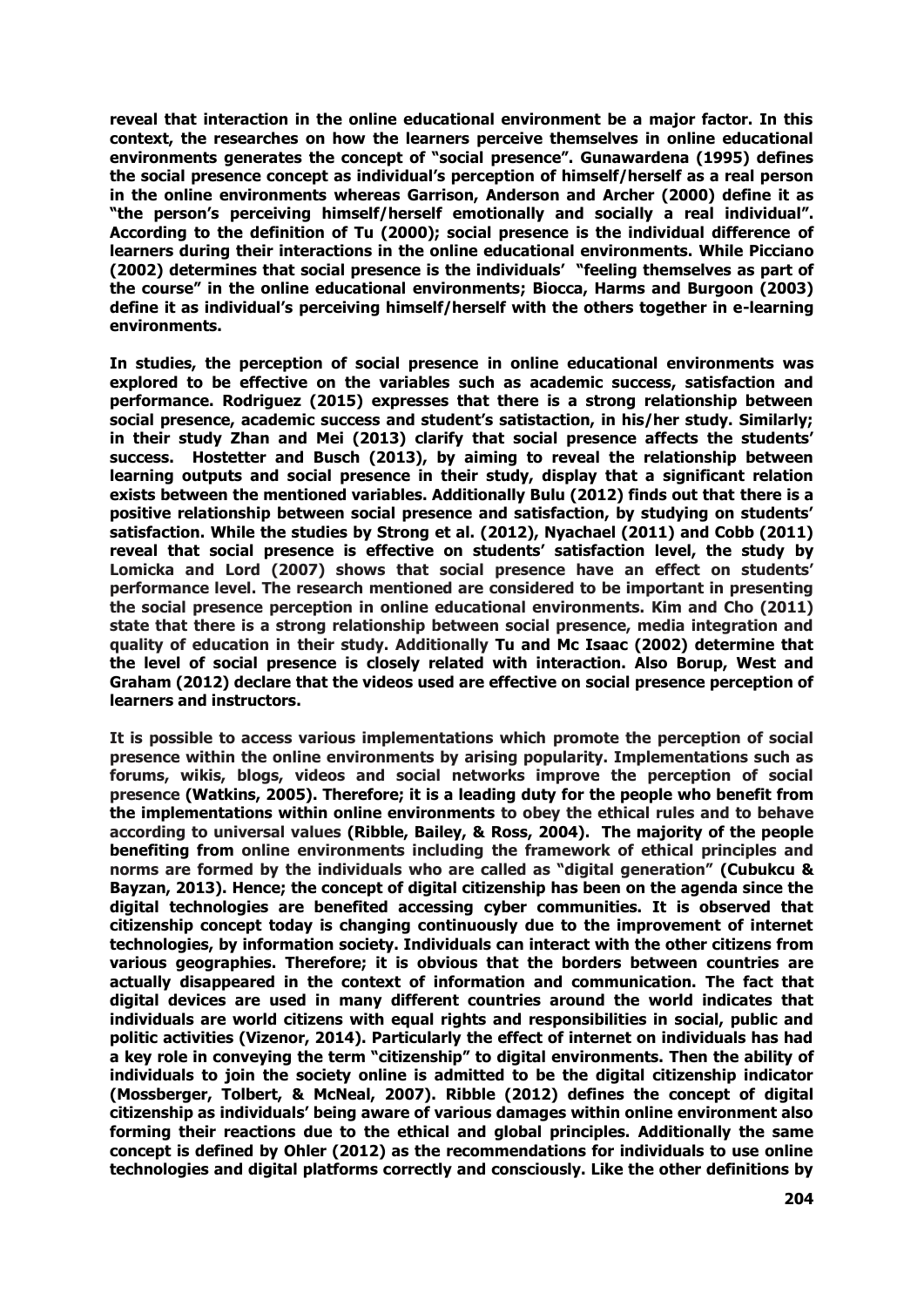**reveal that interaction in the online educational environment be a major factor. In this context, the researches on how the learners perceive themselves in online educational environments generates the concept of "social presence". Gunawardena (1995) defines the social presence concept as individual's perception of himself/herself as a real person in the online environments whereas Garrison, Anderson and Archer (2000) define it as "the person's perceiving himself/herself emotionally and socially a real individual". According to the definition of Tu (2000); social presence is the individual difference of learners during their interactions in the online educational environments. While Picciano (2002) determines that social presence is the individuals' "feeling themselves as part of the course" in the online educational environments; Biocca, Harms and Burgoon (2003) define it as individual's perceiving himself/herself with the others together in e-learning environments.**

**In studies, the perception of social presence in online educational environments was explored to be effective on the variables such as academic success, satisfaction and performance. Rodriguez (2015) expresses that there is a strong relationship between social presence, academic success and student's satistaction, in his/her study. Similarly; in their study Zhan and Mei (2013) clarify that social presence affects the students' success. Hostetter and Busch (2013), by aiming to reveal the relationship between learning outputs and social presence in their study, display that a significant relation exists between the mentioned variables. Additionally Bulu (2012) finds out that there is a positive relationship between social presence and satisfaction, by studying on students' satisfaction. While the studies by Strong et al. (2012), Nyachael (2011) and Cobb (2011) reveal that social presence is effective on students' satisfaction level, the study by Lomicka and Lord (2007) shows that social presence have an effect on students' performance level. The research mentioned are considered to be important in presenting the social presence perception in online educational environments. Kim and Cho (2011) state that there is a strong relationship between social presence, media integration and quality of education in their study. Additionally Tu and Mc Isaac (2002) determine that the level of social presence is closely related with interaction. Also Borup, West and Graham (2012) declare that the videos used are effective on social presence perception of learners and instructors.**

**It is possible to access various implementations which promote the perception of social presence within the online environments by arising popularity. Implementations such as forums, wikis, blogs, videos and social networks improve the perception of social presence (Watkins, 2005). Therefore; it is a leading duty for the people who benefit from the implementations within online environments to obey the ethical rules and to behave according to universal values (Ribble, Bailey, & Ross, 2004). The majority of the people benefiting from online environments including the framework of ethical principles and norms are formed by the individuals who are called as "digital generation" (Cubukcu & Bayzan, 2013). Hence; the concept of digital citizenship has been on the agenda since the digital technologies are benefited accessing cyber communities. It is observed that citizenship concept today is changing continuously due to the improvement of internet technologies, by information society. Individuals can interact with the other citizens from various geographies. Therefore; it is obvious that the borders between countries are actually disappeared in the context of information and communication. The fact that digital devices are used in many different countries around the world indicates that individuals are world citizens with equal rights and responsibilities in social, public and politic activities (Vizenor, 2014). Particularly the effect of internet on individuals has had a key role in conveying the term "citizenship" to digital environments. Then the ability of individuals to join the society online is admitted to be the digital citizenship indicator (Mossberger, Tolbert, & McNeal, 2007). Ribble (2012) defines the concept of digital citizenship as individuals' being aware of various damages within online environment also forming their reactions due to the ethical and global principles. Additionally the same concept is defined by Ohler (2012) as the recommendations for individuals to use online technologies and digital platforms correctly and consciously. Like the other definitions by**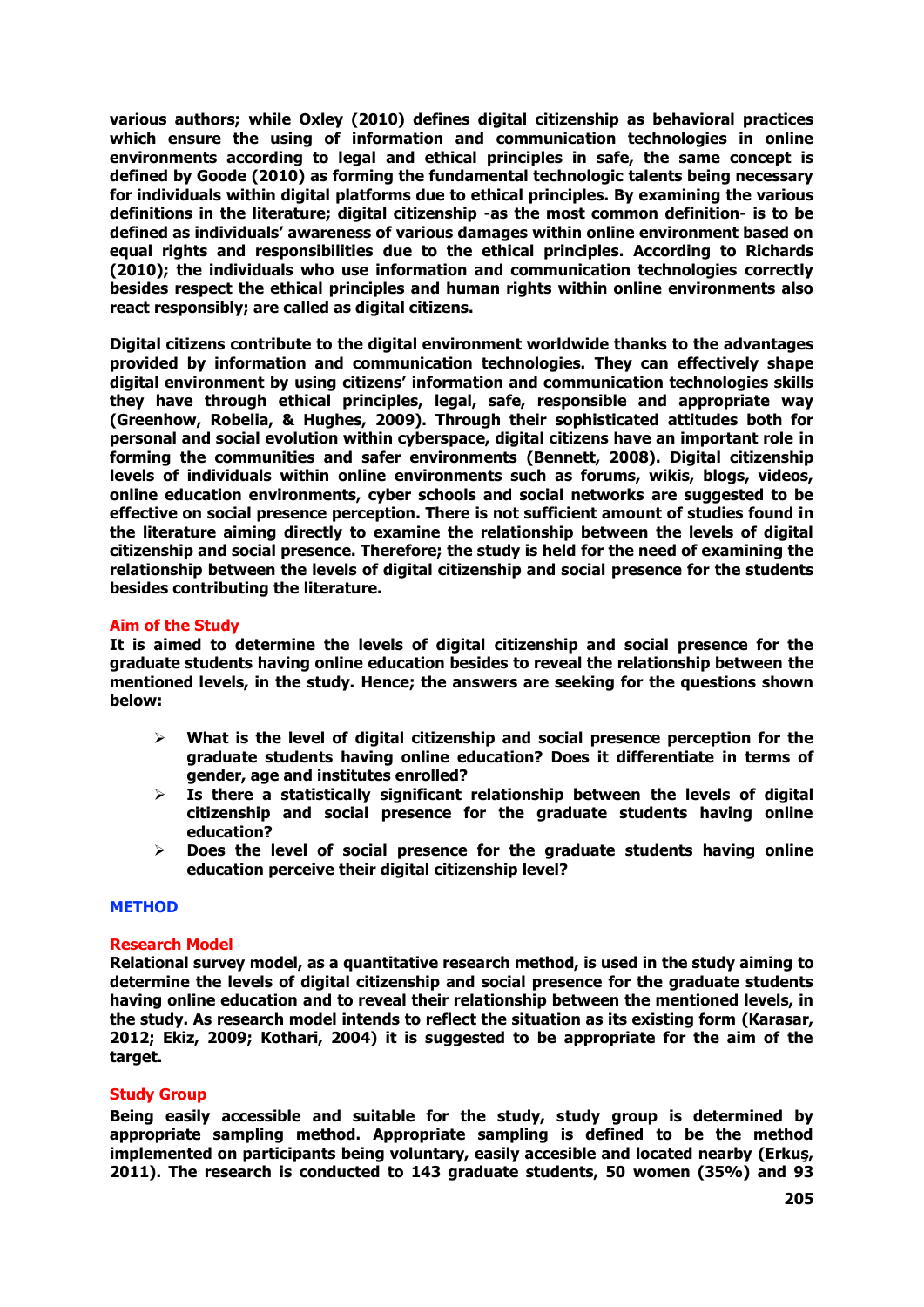**various authors; while Oxley (2010) defines digital citizenship as behavioral practices which ensure the using of information and communication technologies in online environments according to legal and ethical principles in safe, the same concept is defined by Goode (2010) as forming the fundamental technologic talents being necessary for individuals within digital platforms due to ethical principles. By examining the various definitions in the literature; digital citizenship -as the most common definition- is to be defined as individuals' awareness of various damages within online environment based on equal rights and responsibilities due to the ethical principles. According to Richards (2010); the individuals who use information and communication technologies correctly besides respect the ethical principles and human rights within online environments also react responsibly; are called as digital citizens.**

**Digital citizens contribute to the digital environment worldwide thanks to the advantages provided by information and communication technologies. They can effectively shape digital environment by using citizens' information and communication technologies skills they have through ethical principles, legal, safe, responsible and appropriate way (Greenhow, Robelia, & Hughes, 2009). Through their sophisticated attitudes both for personal and social evolution within cyberspace, digital citizens have an important role in forming the communities and safer environments (Bennett, 2008). Digital citizenship levels of individuals within online environments such as forums, wikis, blogs, videos, online education environments, cyber schools and social networks are suggested to be effective on social presence perception. There is not sufficient amount of studies found in the literature aiming directly to examine the relationship between the levels of digital citizenship and social presence. Therefore; the study is held for the need of examining the relationship between the levels of digital citizenship and social presence for the students besides contributing the literature.**

## **Aim of the Study**

**It is aimed to determine the levels of digital citizenship and social presence for the graduate students having online education besides to reveal the relationship between the mentioned levels, in the study. Hence; the answers are seeking for the questions shown below:** 

- **What is the level of digital citizenship and social presence perception for the graduate students having online education? Does it differentiate in terms of gender, age and institutes enrolled?**
- **Is there a statistically significant relationship between the levels of digital citizenship and social presence for the graduate students having online education?**
- **Does the level of social presence for the graduate students having online education perceive their digital citizenship level?**

### **METHOD**

### **Research Model**

**Relational survey model, as a quantitative research method, is used in the study aiming to determine the levels of digital citizenship and social presence for the graduate students having online education and to reveal their relationship between the mentioned levels, in the study. As research model intends to reflect the situation as its existing form (Karasar, 2012; Ekiz, 2009; Kothari, 2004) it is suggested to be appropriate for the aim of the target.** 

### **Study Group**

**Being easily accessible and suitable for the study, study group is determined by appropriate sampling method. Appropriate sampling is defined to be the method implemented on participants being voluntary, easily accesible and located nearby (Erkuş, 2011). The research is conducted to 143 graduate students, 50 women (35%) and 93**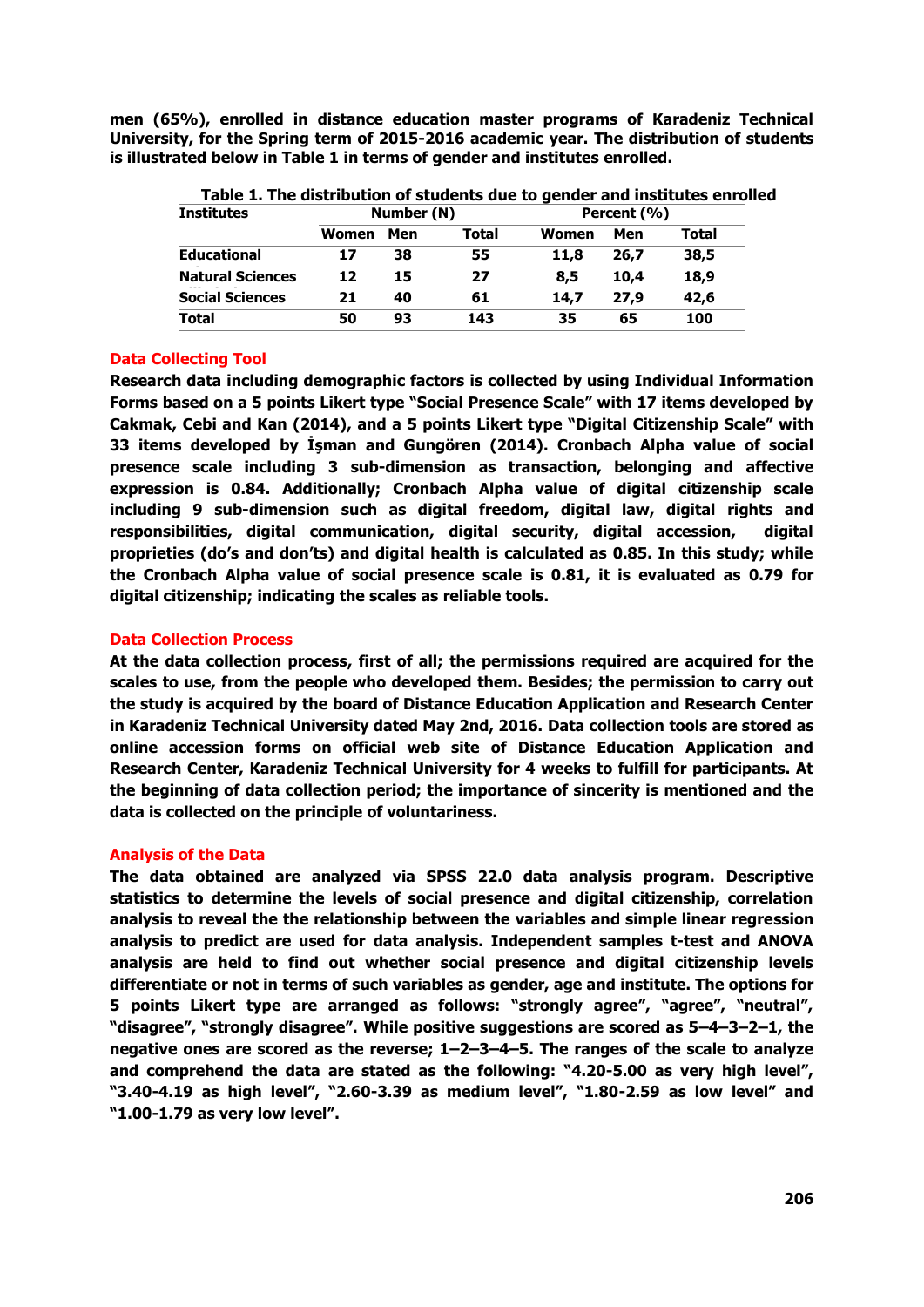**men (65%), enrolled in distance education master programs of Karadeniz Technical University, for the Spring term of 2015-2016 academic year. The distribution of students is illustrated below in Table 1 in terms of gender and institutes enrolled.**

| <b>Institutes</b>       |       | Number (N) |       | Percent (%) |      |       |  |
|-------------------------|-------|------------|-------|-------------|------|-------|--|
|                         | Women | Men        | Total | Women       | Men  | Total |  |
| <b>Educational</b>      | 17    | 38         | 55    | 11,8        | 26,7 | 38,5  |  |
| <b>Natural Sciences</b> | 12    | 15         | 27    | 8,5         | 10,4 | 18,9  |  |
| <b>Social Sciences</b>  | 21    | 40         | 61    | 14,7        | 27,9 | 42,6  |  |
| Total                   | 50    | 93         | 143   | 35          | 65   | 100   |  |

**Table 1. The distribution of students due to gender and institutes enrolled**

# **Data Collecting Tool**

**Research data including demographic factors is collected by using Individual Information Forms based on a 5 points Likert type "Social Presence Scale" with 17 items developed by Cakmak, Cebi and Kan (2014), and a 5 points Likert type "Digital Citizenship Scale" with 33 items developed by İşman and Gungören (2014). Cronbach Alpha value of social presence scale including 3 sub-dimension as transaction, belonging and affective expression is 0.84. Additionally; Cronbach Alpha value of digital citizenship scale including 9 sub-dimension such as digital freedom, digital law, digital rights and responsibilities, digital communication, digital security, digital accession, digital proprieties (do's and don'ts) and digital health is calculated as 0.85. In this study; while the Cronbach Alpha value of social presence scale is 0.81, it is evaluated as 0.79 for digital citizenship; indicating the scales as reliable tools.** 

# **Data Collection Process**

**At the data collection process, first of all; the permissions required are acquired for the scales to use, from the people who developed them. Besides; the permission to carry out the study is acquired by the board of Distance Education Application and Research Center in Karadeniz Technical University dated May 2nd, 2016. Data collection tools are stored as online accession forms on official web site of Distance Education Application and Research Center, Karadeniz Technical University for 4 weeks to fulfill for participants. At the beginning of data collection period; the importance of sincerity is mentioned and the data is collected on the principle of voluntariness.**

# **Analysis of the Data**

**The data obtained are analyzed via SPSS 22.0 data analysis program. Descriptive statistics to determine the levels of social presence and digital citizenship, correlation analysis to reveal the the relationship between the variables and simple linear regression analysis to predict are used for data analysis. Independent samples t-test and ANOVA analysis are held to find out whether social presence and digital citizenship levels differentiate or not in terms of such variables as gender, age and institute. The options for 5 points Likert type are arranged as follows: "strongly agree", "agree", "neutral", "disagree", "strongly disagree". While positive suggestions are scored as 5–4–3–2–1, the negative ones are scored as the reverse; 1–2–3–4–5. The ranges of the scale to analyze and comprehend the data are stated as the following: "4.20-5.00 as very high level", "3.40-4.19 as high level", "2.60-3.39 as medium level", "1.80-2.59 as low level" and "1.00-1.79 as very low level".**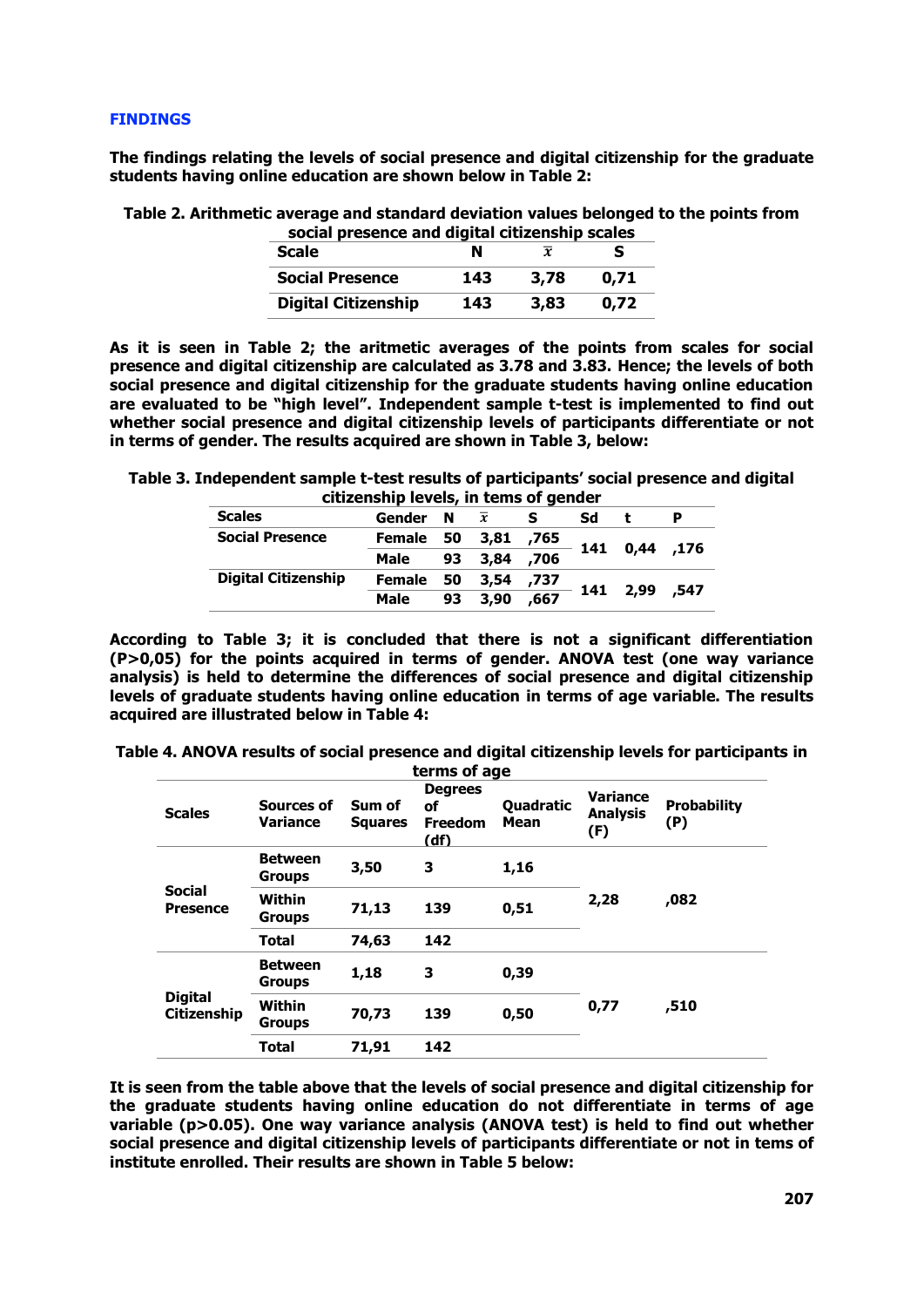### **FINDINGS**

**The findings relating the levels of social presence and digital citizenship for the graduate students having online education are shown below in Table 2:** 

**Table 2. Arithmetic average and standard deviation values belonged to the points from social presence and digital citizenship scales**

| social presence and digital citizenship scales |     |      |      |  |  |  |  |
|------------------------------------------------|-----|------|------|--|--|--|--|
| <b>Scale</b>                                   |     | x    |      |  |  |  |  |
| <b>Social Presence</b>                         | 143 | 3,78 | 0.71 |  |  |  |  |
| <b>Digital Citizenship</b>                     | 143 | 3,83 | 0.72 |  |  |  |  |

**As it is seen in Table 2; the aritmetic averages of the points from scales for social presence and digital citizenship are calculated as 3.78 and 3.83. Hence; the levels of both social presence and digital citizenship for the graduate students having online education are evaluated to be "high level". Independent sample t-test is implemented to find out whether social presence and digital citizenship levels of participants differentiate or not in terms of gender. The results acquired are shown in Table 3, below:**

**Table 3. Independent sample t-test results of participants' social presence and digital citizenship levels, in tems of gender**

|                            | CRECHSHIP ICTCIS, III tCHIS OF GCHQCH |    |                |      |    |               |  |  |
|----------------------------|---------------------------------------|----|----------------|------|----|---------------|--|--|
| <b>Scales</b>              | Gender N                              |    | $\overline{x}$ |      | Sd |               |  |  |
| <b>Social Presence</b>     | Female 50 3,81                        |    |                | ,765 |    | 141 0,44 ,176 |  |  |
|                            | Male                                  | 93 | 3.84           | ,706 |    |               |  |  |
| <b>Digital Citizenship</b> | <b>Female</b>                         |    | 50 3,54        | ,737 |    | 141 2,99 ,547 |  |  |
|                            | Male                                  | 93 | 3,90           | ,667 |    |               |  |  |

**According to Table 3; it is concluded that there is not a significant differentiation (P>0,05) for the points acquired in terms of gender. ANOVA test (one way variance analysis) is held to determine the differences of social presence and digital citizenship levels of graduate students having online education in terms of age variable. The results acquired are illustrated below in Table 4:**

| Table 4. ANOVA results of social presence and digital citizenship levels for participants in |  |  |  |  |  |  |
|----------------------------------------------------------------------------------------------|--|--|--|--|--|--|
| terme of age                                                                                 |  |  |  |  |  |  |

|                                      |                                 |                          | פו וווא טו מקכ                                 |                          |                                           |                           |
|--------------------------------------|---------------------------------|--------------------------|------------------------------------------------|--------------------------|-------------------------------------------|---------------------------|
| <b>Scales</b>                        | Sources of<br><b>Variance</b>   | Sum of<br><b>Squares</b> | <b>Degrees</b><br>οf<br><b>Freedom</b><br>(df) | Quadratic<br><b>Mean</b> | <b>Variance</b><br><b>Analysis</b><br>(F) | <b>Probability</b><br>(P) |
|                                      | <b>Between</b><br><b>Groups</b> | 3,50                     | 3                                              | 1,16                     |                                           |                           |
| <b>Social</b><br><b>Presence</b>     | <b>Within</b><br><b>Groups</b>  | 71,13                    | 139                                            | 0,51                     | 2,28                                      | ,082                      |
|                                      | Total                           | 74,63                    | 142                                            |                          |                                           |                           |
|                                      | <b>Between</b><br><b>Groups</b> | 1,18                     | 3                                              | 0,39                     |                                           |                           |
| <b>Digital</b><br><b>Citizenship</b> | Within<br><b>Groups</b>         | 70,73                    | 139                                            | 0,50                     | 0,77                                      | ,510                      |
|                                      | <b>Total</b>                    | 71,91                    | 142                                            |                          |                                           |                           |

**It is seen from the table above that the levels of social presence and digital citizenship for the graduate students having online education do not differentiate in terms of age variable (p>0.05). One way variance analysis (ANOVA test) is held to find out whether social presence and digital citizenship levels of participants differentiate or not in tems of institute enrolled. Their results are shown in Table 5 below:**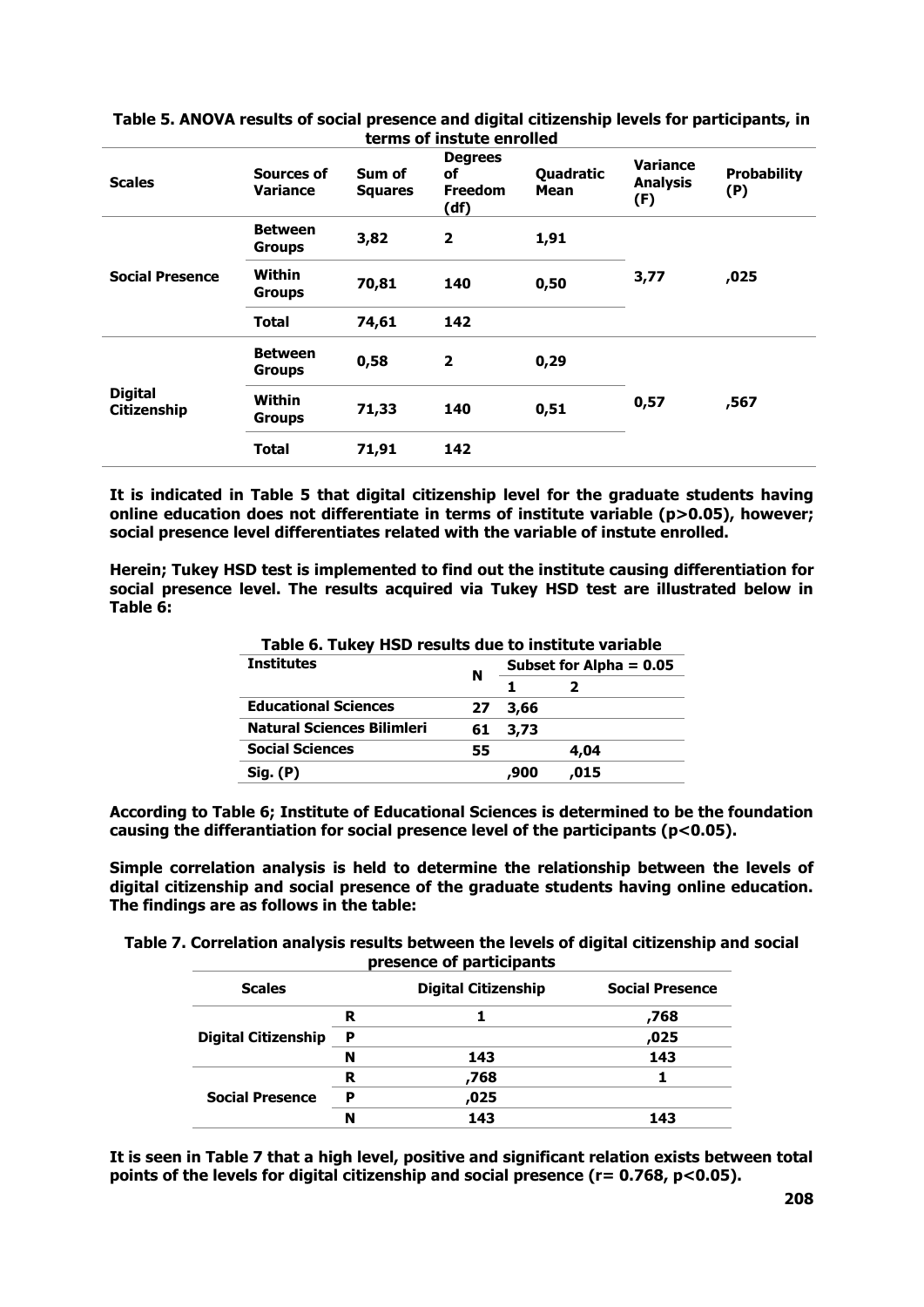|                               |                                 |                          | <u>terms of instate emolied</u>                |                   |                                           |                           |
|-------------------------------|---------------------------------|--------------------------|------------------------------------------------|-------------------|-------------------------------------------|---------------------------|
| <b>Scales</b>                 | Sources of<br><b>Variance</b>   | Sum of<br><b>Squares</b> | <b>Degrees</b><br>οf<br><b>Freedom</b><br>(df) | Quadratic<br>Mean | <b>Variance</b><br><b>Analysis</b><br>(F) | <b>Probability</b><br>(P) |
| <b>Social Presence</b>        | <b>Between</b><br><b>Groups</b> | 3,82                     | $\mathbf{2}$                                   | 1,91              |                                           |                           |
|                               | Within<br><b>Groups</b>         | 70,81                    | 140                                            | 0,50              | 3,77                                      | ,025                      |
|                               | Total                           | 74,61                    | 142                                            |                   |                                           |                           |
| <b>Digital</b><br>Citizenship | <b>Between</b><br><b>Groups</b> | 0,58                     | $\mathbf{2}$                                   | 0,29              |                                           |                           |
|                               | Within<br><b>Groups</b>         | 71,33                    | 140                                            | 0,51              | 0,57                                      | ,567                      |
|                               | Total                           | 71,91                    | 142                                            |                   |                                           |                           |

**Table 5. ANOVA results of social presence and digital citizenship levels for participants, in terms of instute enrolled**

**It is indicated in Table 5 that digital citizenship level for the graduate students having online education does not differentiate in terms of institute variable (p>0.05), however; social presence level differentiates related with the variable of instute enrolled.** 

**Herein; Tukey HSD test is implemented to find out the institute causing differentiation for social presence level. The results acquired via Tukey HSD test are illustrated below in Table 6:**

|    | Table 6. Tukey HSD results due to institute variable<br>Subset for Alpha $= 0.05$ |      |  |
|----|-----------------------------------------------------------------------------------|------|--|
|    |                                                                                   |      |  |
| 27 | 3,66                                                                              |      |  |
| 61 | 3,73                                                                              |      |  |
| 55 |                                                                                   | 4,04 |  |
|    | 900,                                                                              | .015 |  |
|    | N                                                                                 |      |  |

**Table 6. Tukey HSD results due to institute variable**

**According to Table 6; Institute of Educational Sciences is determined to be the foundation causing the differantiation for social presence level of the participants (p<0.05).**

**Simple correlation analysis is held to determine the relationship between the levels of digital citizenship and social presence of the graduate students having online education. The findings are as follows in the table:**

**Table 7. Correlation analysis results between the levels of digital citizenship and social presence of participants**

| <b>Scales</b>              |   | <b>Digital Citizenship</b> | <b>Social Presence</b> |
|----------------------------|---|----------------------------|------------------------|
|                            | R |                            | 768,                   |
| <b>Digital Citizenship</b> | P |                            | ,025                   |
|                            | N | 143                        | 143                    |
|                            | R | ,768                       |                        |
| <b>Social Presence</b>     | P | ,025                       |                        |
|                            | N | 143                        | 143                    |

**It is seen in Table 7 that a high level, positive and significant relation exists between total points of the levels for digital citizenship and social presence (r= 0.768, p<0.05).**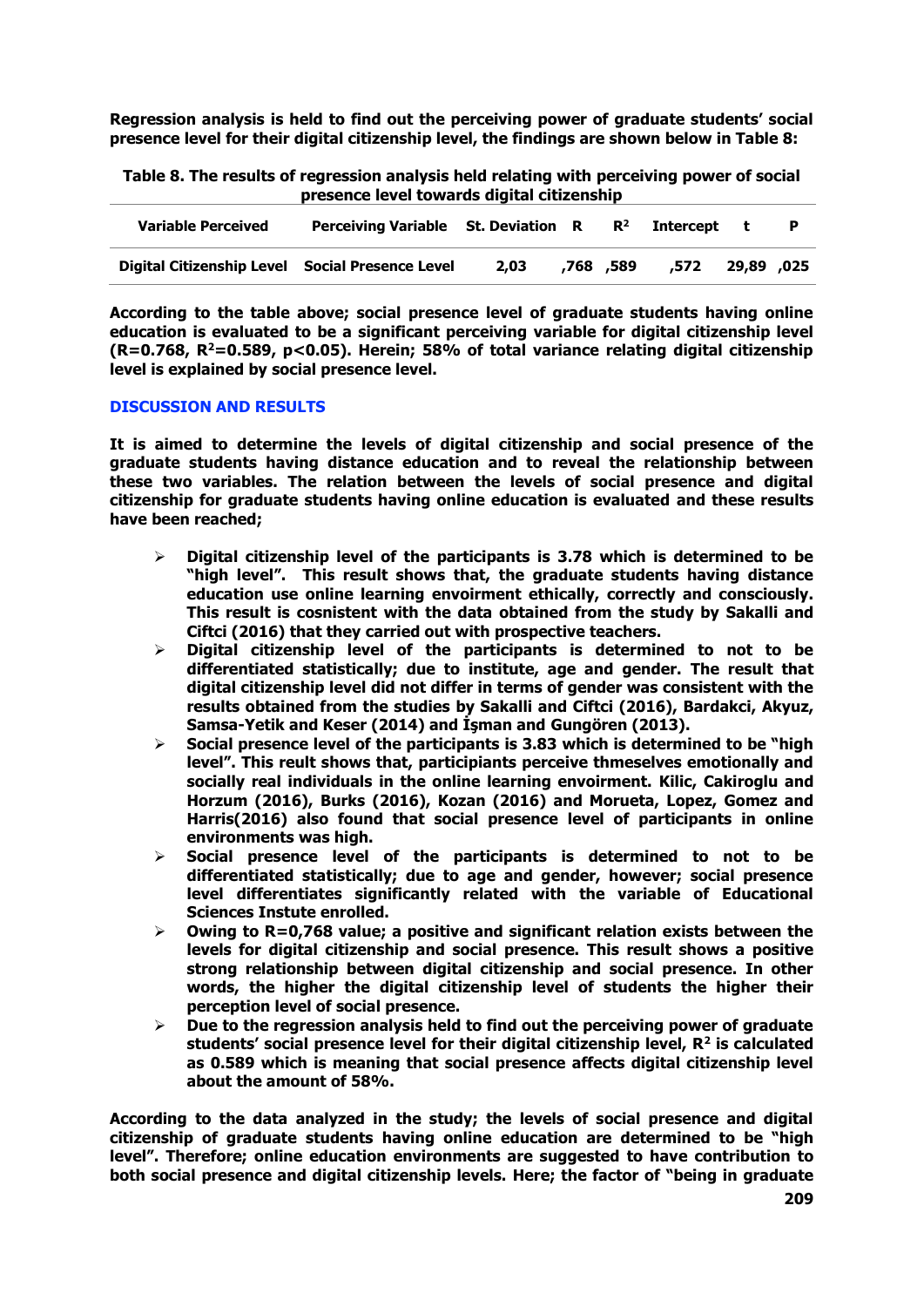**Regression analysis is held to find out the perceiving power of graduate students' social presence level for their digital citizenship level, the findings are shown below in Table 8:**

**Table 8. The results of regression analysis held relating with perceiving power of social presence level towards digital citizenship**

| <b>Variable Perceived</b>                       | Perceiving Variable St. Deviation $R$ $R^2$ Intercept t |      |           |      |            |  |
|-------------------------------------------------|---------------------------------------------------------|------|-----------|------|------------|--|
| Digital Citizenship Level Social Presence Level |                                                         | 2.03 | 589, 768. | .572 | 29,89 ,025 |  |

**According to the table above; social presence level of graduate students having online education is evaluated to be a significant perceiving variable for digital citizenship level (R=0.768, R<sup>2</sup>=0.589, p<0.05). Herein; 58% of total variance relating digital citizenship level is explained by social presence level.**

### **DISCUSSION AND RESULTS**

**It is aimed to determine the levels of digital citizenship and social presence of the graduate students having distance education and to reveal the relationship between these two variables. The relation between the levels of social presence and digital citizenship for graduate students having online education is evaluated and these results have been reached;**

- **Digital citizenship level of the participants is 3.78 which is determined to be "high level". This result shows that, the graduate students having distance education use online learning envoirment ethically, correctly and consciously. This result is cosnistent with the data obtained from the study by Sakalli and Ciftci (2016) that they carried out with prospective teachers.**
- **Digital citizenship level of the participants is determined to not to be differentiated statistically; due to institute, age and gender. The result that digital citizenship level did not differ in terms of gender was consistent with the results obtained from the studies by Sakalli and Ciftci (2016), Bardakci, Akyuz, Samsa-Yetik and Keser (2014) and İşman and Gungören (2013).**
- **Social presence level of the participants is 3.83 which is determined to be "high level". This reult shows that, participiants perceive thmeselves emotionally and socially real individuals in the online learning envoirment. Kilic, Cakiroglu and Horzum (2016), Burks (2016), Kozan (2016) and Morueta, Lopez, Gomez and Harris(2016) also found that social presence level of participants in online environments was high.**
- **Social presence level of the participants is determined to not to be differentiated statistically; due to age and gender, however; social presence level differentiates significantly related with the variable of Educational Sciences Instute enrolled.**
- **Owing to R=0,768 value; a positive and significant relation exists between the levels for digital citizenship and social presence. This result shows a positive strong relationship between digital citizenship and social presence. In other words, the higher the digital citizenship level of students the higher their perception level of social presence.**
- **Due to the regression analysis held to find out the perceiving power of graduate students' social presence level for their digital citizenship level, R<sup>2</sup> is calculated as 0.589 which is meaning that social presence affects digital citizenship level about the amount of 58%.**

**According to the data analyzed in the study; the levels of social presence and digital citizenship of graduate students having online education are determined to be "high level". Therefore; online education environments are suggested to have contribution to both social presence and digital citizenship levels. Here; the factor of "being in graduate**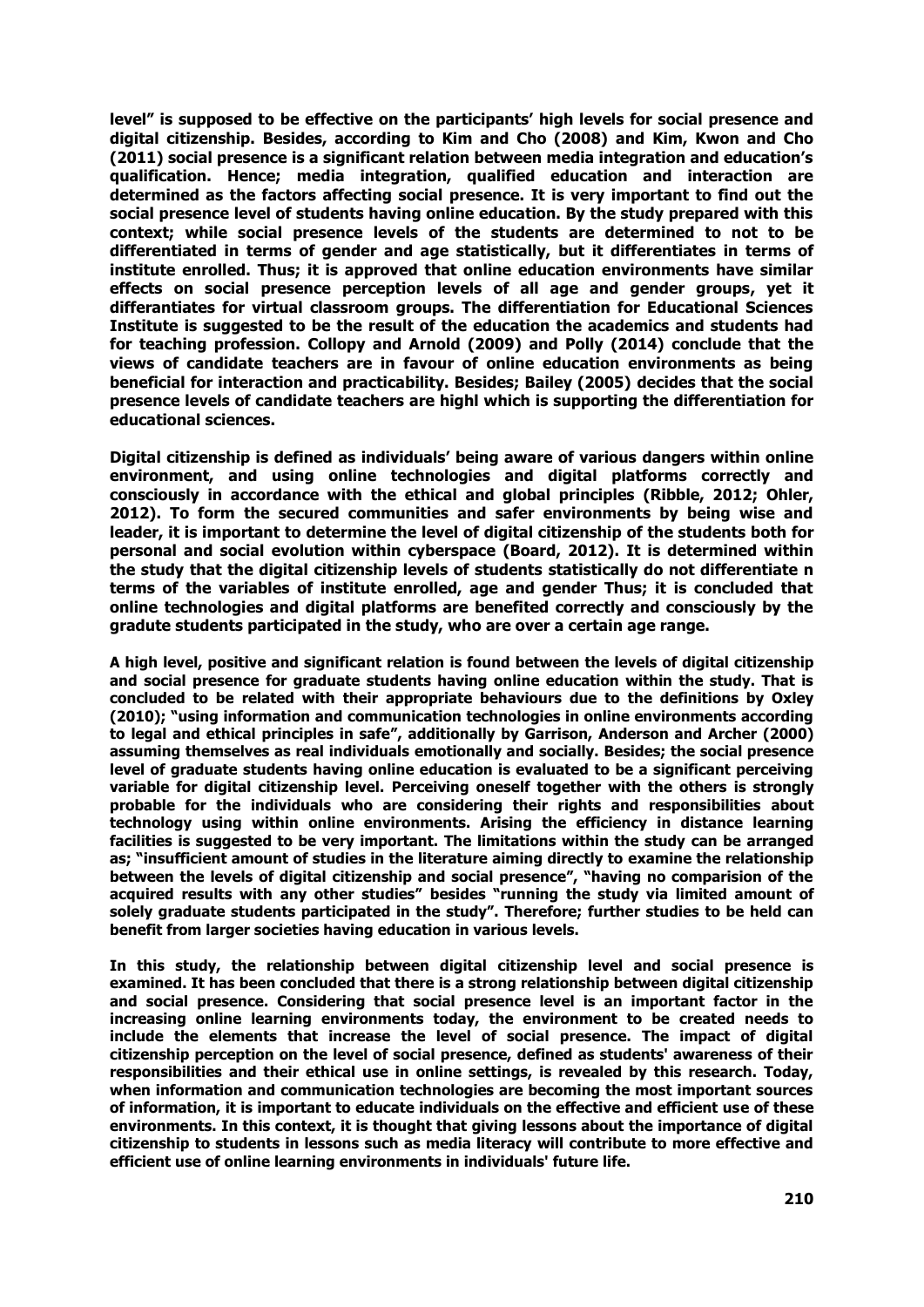**level" is supposed to be effective on the participants' high levels for social presence and digital citizenship. Besides, according to Kim and Cho (2008) and Kim, Kwon and Cho (2011) social presence is a significant relation between media integration and education's qualification. Hence; media integration, qualified education and interaction are determined as the factors affecting social presence. It is very important to find out the social presence level of students having online education. By the study prepared with this context; while social presence levels of the students are determined to not to be differentiated in terms of gender and age statistically, but it differentiates in terms of institute enrolled. Thus; it is approved that online education environments have similar effects on social presence perception levels of all age and gender groups, yet it differantiates for virtual classroom groups. The differentiation for Educational Sciences Institute is suggested to be the result of the education the academics and students had for teaching profession. Collopy and Arnold (2009) and Polly (2014) conclude that the views of candidate teachers are in favour of online education environments as being beneficial for interaction and practicability. Besides; Bailey (2005) decides that the social presence levels of candidate teachers are highl which is supporting the differentiation for educational sciences.**

**Digital citizenship is defined as individuals' being aware of various dangers within online environment, and using online technologies and digital platforms correctly and consciously in accordance with the ethical and global principles (Ribble, 2012; Ohler, 2012). To form the secured communities and safer environments by being wise and leader, it is important to determine the level of digital citizenship of the students both for personal and social evolution within cyberspace (Board, 2012). It is determined within the study that the digital citizenship levels of students statistically do not differentiate n terms of the variables of institute enrolled, age and gender Thus; it is concluded that online technologies and digital platforms are benefited correctly and consciously by the gradute students participated in the study, who are over a certain age range.**

**A high level, positive and significant relation is found between the levels of digital citizenship and social presence for graduate students having online education within the study. That is concluded to be related with their appropriate behaviours due to the definitions by Oxley (2010); "using information and communication technologies in online environments according to legal and ethical principles in safe", additionally by Garrison, Anderson and Archer (2000) assuming themselves as real individuals emotionally and socially. Besides; the social presence level of graduate students having online education is evaluated to be a significant perceiving variable for digital citizenship level. Perceiving oneself together with the others is strongly probable for the individuals who are considering their rights and responsibilities about technology using within online environments. Arising the efficiency in distance learning facilities is suggested to be very important. The limitations within the study can be arranged as; "insufficient amount of studies in the literature aiming directly to examine the relationship between the levels of digital citizenship and social presence", "having no comparision of the acquired results with any other studies" besides "running the study via limited amount of solely graduate students participated in the study". Therefore; further studies to be held can benefit from larger societies having education in various levels.**

**In this study, the relationship between digital citizenship level and social presence is examined. It has been concluded that there is a strong relationship between digital citizenship and social presence. Considering that social presence level is an important factor in the increasing online learning environments today, the environment to be created needs to include the elements that increase the level of social presence. The impact of digital citizenship perception on the level of social presence, defined as students' awareness of their responsibilities and their ethical use in online settings, is revealed by this research. Today, when information and communication technologies are becoming the most important sources of information, it is important to educate individuals on the effective and efficient use of these environments. In this context, it is thought that giving lessons about the importance of digital citizenship to students in lessons such as media literacy will contribute to more effective and efficient use of online learning environments in individuals' future life.**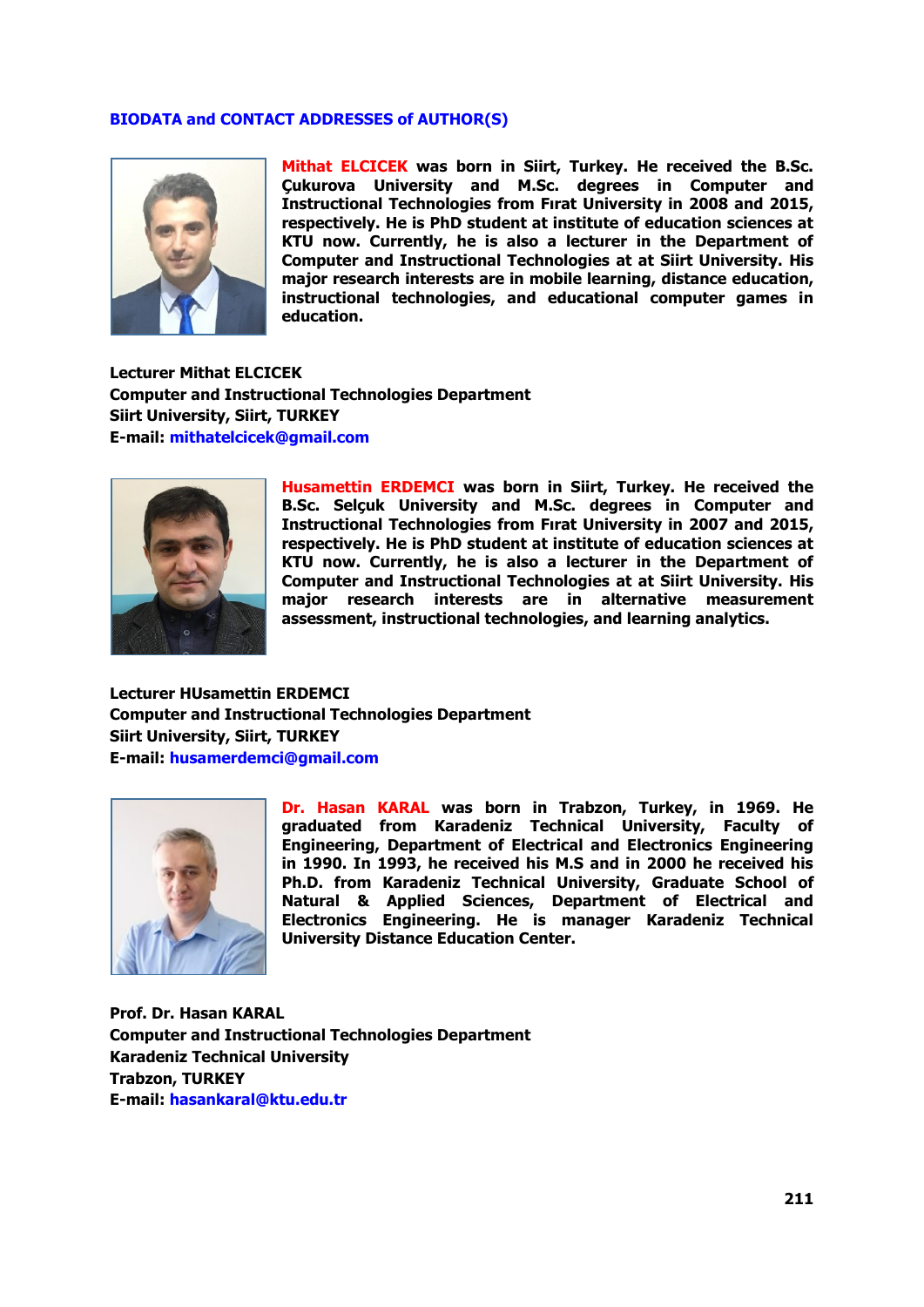### **BIODATA and CONTACT ADDRESSES of AUTHOR(S)**



**Mithat ELCICEK was born in Siirt, Turkey. He received the B.Sc. Çukurova University and M.Sc. degrees in Computer and Instructional Technologies from Fırat University in 2008 and 2015, respectively. He is PhD student at institute of education sciences at KTU now. Currently, he is also a lecturer in the Department of Computer and Instructional Technologies at at Siirt University. His major research interests are in mobile learning, distance education, instructional technologies, and educational computer games in education.**

**Lecturer Mithat ELCICEK Computer and Instructional Technologies Department Siirt University, Siirt, TURKEY E-mail: mithatelcicek@gmail.com**



**Husamettin ERDEMCI was born in Siirt, Turkey. He received the B.Sc. Selçuk University and M.Sc. degrees in Computer and Instructional Technologies from Fırat University in 2007 and 2015, respectively. He is PhD student at institute of education sciences at KTU now. Currently, he is also a lecturer in the Department of Computer and Instructional Technologies at at Siirt University. His major research interests are in alternative measurement assessment, instructional technologies, and learning analytics.**

**Lecturer HUsamettin ERDEMCI Computer and Instructional Technologies Department Siirt University, Siirt, TURKEY E-mail: husamerdemci@gmail.com**



**Dr. Hasan KARAL was born in Trabzon, Turkey, in 1969. He graduated from Karadeniz Technical University, Faculty of Engineering, Department of Electrical and Electronics Engineering in 1990. In 1993, he received his M.S and in 2000 he received his Ph.D. from Karadeniz Technical University, Graduate School of Natural & Applied Sciences, Department of Electrical and Electronics Engineering. He is manager Karadeniz Technical University Distance Education Center.** 

**Prof. Dr. Hasan KARAL Computer and Instructional Technologies Department Karadeniz Technical University Trabzon, TURKEY E-mail: hasankaral@ktu.edu.tr**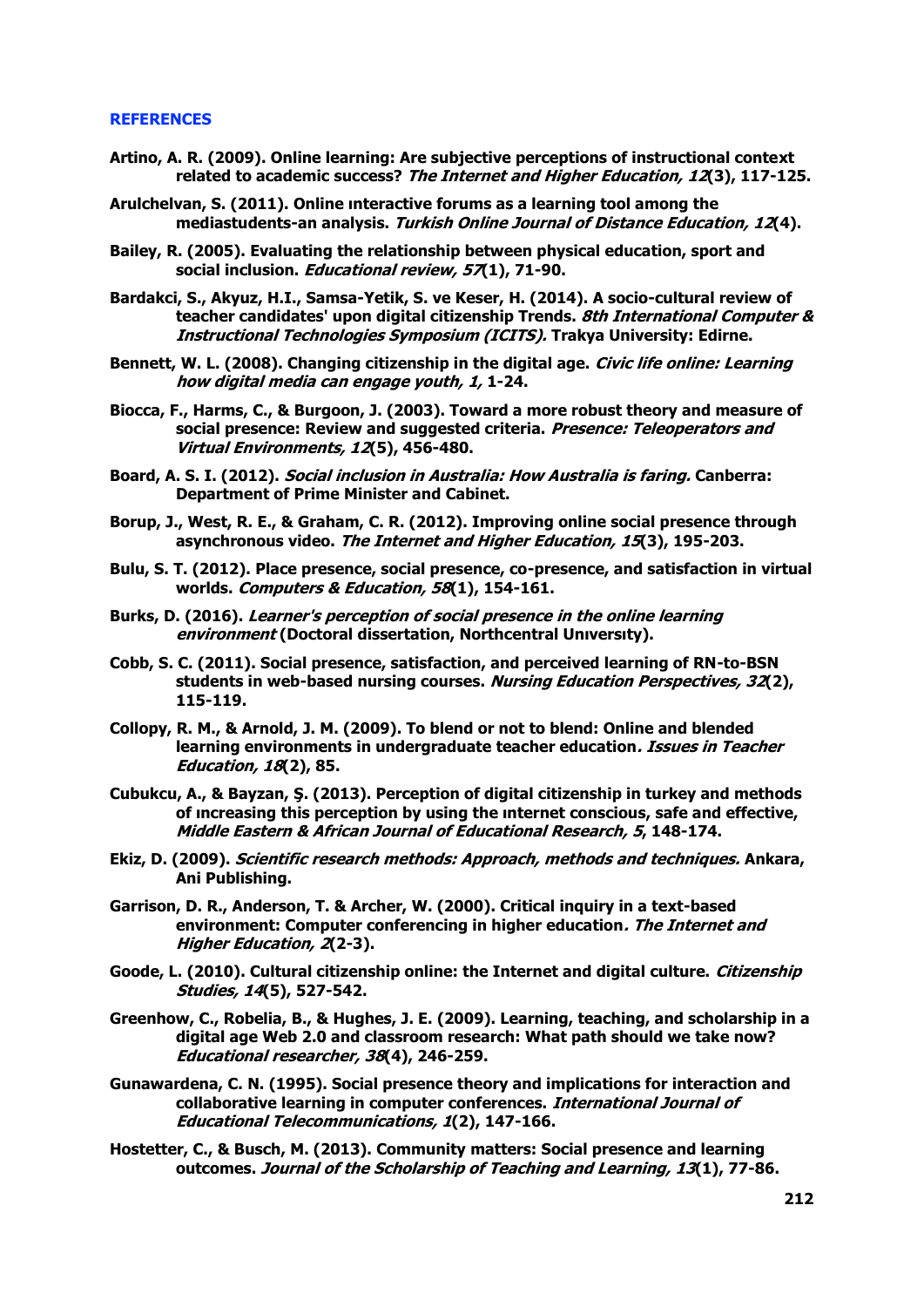### **REFERENCES**

- **Artino, A. R. (2009). Online learning: Are subjective perceptions of instructional context related to academic success? The Internet and Higher Education, 12(3), 117-125.**
- **Arulchelvan, S. (2011). Online ınteractive forums as a learning tool among the mediastudents-an analysis. Turkish Online Journal of Distance Education, 12(4).**
- **Bailey, R. (2005). Evaluating the relationship between physical education, sport and social inclusion. Educational review, 57(1), 71-90.**
- **Bardakci, S., Akyuz, H.I., Samsa-Yetik, S. ve Keser, H. (2014). A socio-cultural review of teacher candidates' upon digital citizenship Trends. 8th International Computer & Instructional Technologies Symposium (ICITS). Trakya University: Edirne.**
- **Bennett, W. L. (2008). Changing citizenship in the digital age. Civic life online: Learning how digital media can engage youth, 1, 1-24.**
- **Biocca, F., Harms, C., & Burgoon, J. (2003). Toward a more robust theory and measure of social presence: Review and suggested criteria. Presence: Teleoperators and Virtual Environments, 12(5), 456-480.**
- **Board, A. S. I. (2012). Social inclusion in Australia: How Australia is faring. Canberra: Department of Prime Minister and Cabinet.**
- **Borup, J., West, R. E., & Graham, C. R. (2012). Improving online social presence through asynchronous video. The Internet and Higher Education, 15(3), 195-203.**
- **Bulu, S. T. (2012). Place presence, social presence, co-presence, and satisfaction in virtual worlds. Computers & Education, 58(1), 154-161.**
- **Burks, D. (2016). Learner's perception of social presence in the online learning environment (Doctoral dissertation, Northcentral Unıversıty).**
- **Cobb, S. C. (2011). Social presence, satisfaction, and perceived learning of RN-to-BSN students in web-based nursing courses. Nursing Education Perspectives, 32(2), 115-119.**
- **Collopy, R. M., & Arnold, J. M. (2009). To blend or not to blend: Online and blended learning environments in undergraduate teacher education. Issues in Teacher Education, 18(2), 85.**
- **Cubukcu, A., & Bayzan, Ş. (2013). Perception of digital citizenship in turkey and methods of ıncreasing this perception by using the ınternet conscious, safe and effective, Middle Eastern & African Journal of Educational Research, 5, 148-174.**
- **Ekiz, D. (2009). Scientific research methods: Approach, methods and techniques. Ankara, Ani Publishing.**
- **Garrison, D. R., Anderson, T. & Archer, W. (2000). Critical inquiry in a text-based environment: Computer conferencing in higher education. The Internet and Higher Education, 2(2-3).**
- **Goode, L. (2010). Cultural citizenship online: the Internet and digital culture. Citizenship Studies, 14(5), 527-542.**
- **Greenhow, C., Robelia, B., & Hughes, J. E. (2009). Learning, teaching, and scholarship in a digital age Web 2.0 and classroom research: What path should we take now? Educational researcher, 38(4), 246-259.**
- **Gunawardena, C. N. (1995). Social presence theory and implications for interaction and collaborative learning in computer conferences. International Journal of Educational Telecommunications, 1(2), 147-166.**
- **Hostetter, C., & Busch, M. (2013). Community matters: Social presence and learning outcomes. Journal of the Scholarship of Teaching and Learning, 13(1), 77-86.**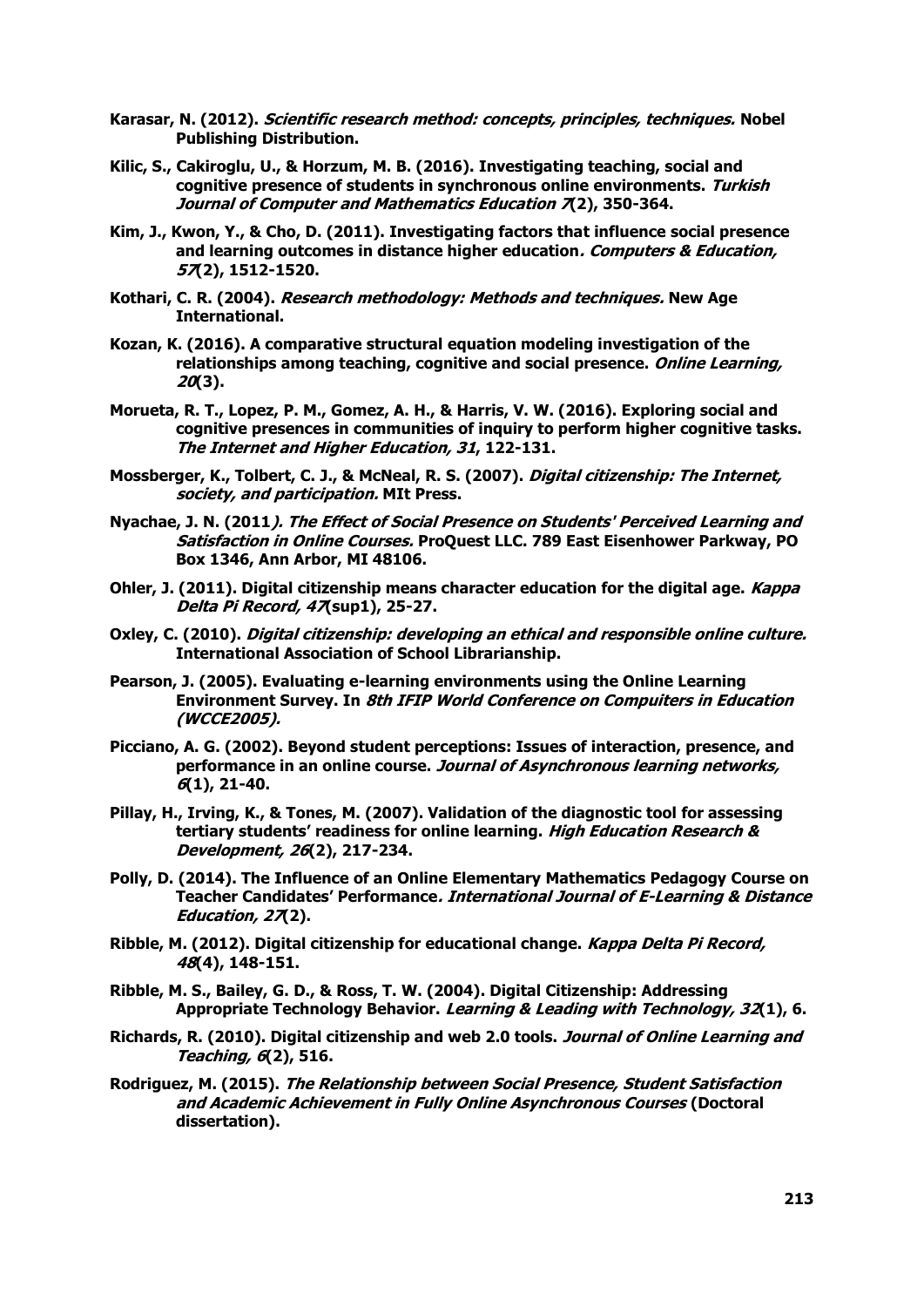- **Karasar, N. (2012). Scientific research method: concepts, principles, techniques. Nobel Publishing Distribution.**
- **Kilic, S., Cakiroglu, U., & Horzum, M. B. (2016). Investigating teaching, social and cognitive presence of students in synchronous online environments. Turkish Journal of Computer and Mathematics Education 7(2), 350-364.**
- **Kim, J., Kwon, Y., & Cho, D. (2011). Investigating factors that influence social presence and learning outcomes in distance higher education. Computers & Education, 57(2), 1512-1520.**
- **Kothari, C. R. (2004). Research methodology: Methods and techniques. New Age International.**
- **Kozan, K. (2016). A comparative structural equation modeling investigation of the relationships among teaching, cognitive and social presence. Online Learning, 20(3).**
- **Morueta, R. T., Lopez, P. M., Gomez, A. H., & Harris, V. W. (2016). Exploring social and cognitive presences in communities of inquiry to perform higher cognitive tasks. The Internet and Higher Education, 31, 122-131.**
- **Mossberger, K., Tolbert, C. J., & McNeal, R. S. (2007). Digital citizenship: The Internet, society, and participation. MIt Press.**
- **Nyachae, J. N. (2011). The Effect of Social Presence on Students' Perceived Learning and Satisfaction in Online Courses. ProQuest LLC. 789 East Eisenhower Parkway, PO Box 1346, Ann Arbor, MI 48106.**
- **Ohler, J. (2011). Digital citizenship means character education for the digital age. Kappa Delta Pi Record, 47(sup1), 25-27.**
- **Oxley, C. (2010). Digital citizenship: developing an ethical and responsible online culture. International Association of School Librarianship.**
- **Pearson, J. (2005). Evaluating e-learning environments using the Online Learning Environment Survey. In 8th IFIP World Conference on Compuiters in Education (WCCE2005).**
- **Picciano, A. G. (2002). Beyond student perceptions: Issues of interaction, presence, and performance in an online course. Journal of Asynchronous learning networks, 6(1), 21-40.**
- **Pillay, H., Irving, K., & Tones, M. (2007). Validation of the diagnostic tool for assessing tertiary students' readiness for online learning. High Education Research & Development, 26(2), 217-234.**
- **Polly, D. (2014). The Influence of an Online Elementary Mathematics Pedagogy Course on Teacher Candidates' Performance. International Journal of E-Learning & Distance Education, 27(2).**
- **Ribble, M. (2012). Digital citizenship for educational change. Kappa Delta Pi Record, 48(4), 148-151.**
- **Ribble, M. S., Bailey, G. D., & Ross, T. W. (2004). Digital Citizenship: Addressing Appropriate Technology Behavior. Learning & Leading with Technology, 32(1), 6.**
- **Richards, R. (2010). Digital citizenship and web 2.0 tools. Journal of Online Learning and Teaching, 6(2), 516.**
- **Rodriguez, M. (2015). The Relationship between Social Presence, Student Satisfaction and Academic Achievement in Fully Online Asynchronous Courses (Doctoral dissertation).**